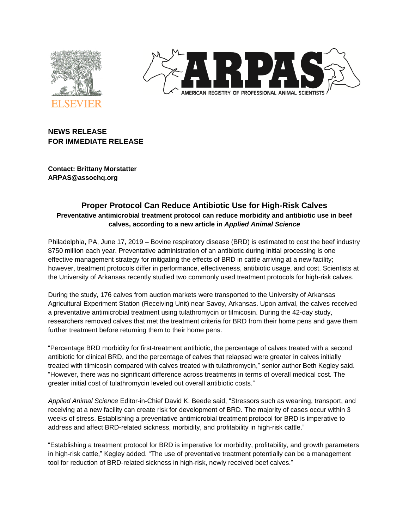



# **NEWS RELEASE FOR IMMEDIATE RELEASE**

**Contact: Brittany Morstatter ARPAS@assochq.org**

## **Proper Protocol Can Reduce Antibiotic Use for High-Risk Calves Preventative antimicrobial treatment protocol can reduce morbidity and antibiotic use in beef calves, according to a new article in** *Applied Animal Science*

Philadelphia, PA, June 17, 2019 – Bovine respiratory disease (BRD) is estimated to cost the beef industry \$750 million each year. Preventative administration of an antibiotic during initial processing is one effective management strategy for mitigating the effects of BRD in cattle arriving at a new facility; however, treatment protocols differ in performance, effectiveness, antibiotic usage, and cost. Scientists at the University of Arkansas recently studied two commonly used treatment protocols for high-risk calves.

During the study, 176 calves from auction markets were transported to the University of Arkansas Agricultural Experiment Station (Receiving Unit) near Savoy, Arkansas. Upon arrival, the calves received a preventative antimicrobial treatment using tulathromycin or tilmicosin. During the 42-day study, researchers removed calves that met the treatment criteria for BRD from their home pens and gave them further treatment before returning them to their home pens.

"Percentage BRD morbidity for first-treatment antibiotic, the percentage of calves treated with a second antibiotic for clinical BRD, and the percentage of calves that relapsed were greater in calves initially treated with tilmicosin compared with calves treated with tulathromycin," senior author Beth Kegley said. "However, there was no significant difference across treatments in terms of overall medical cost. The greater initial cost of tulathromycin leveled out overall antibiotic costs."

*Applied Animal Science* Editor-in-Chief David K. Beede said, "Stressors such as weaning, transport, and receiving at a new facility can create risk for development of BRD. The majority of cases occur within 3 weeks of stress. Establishing a preventative antimicrobial treatment protocol for BRD is imperative to address and affect BRD-related sickness, morbidity, and profitability in high-risk cattle."

"Establishing a treatment protocol for BRD is imperative for morbidity, profitability, and growth parameters in high-risk cattle," Kegley added. "The use of preventative treatment potentially can be a management tool for reduction of BRD-related sickness in high-risk, newly received beef calves."